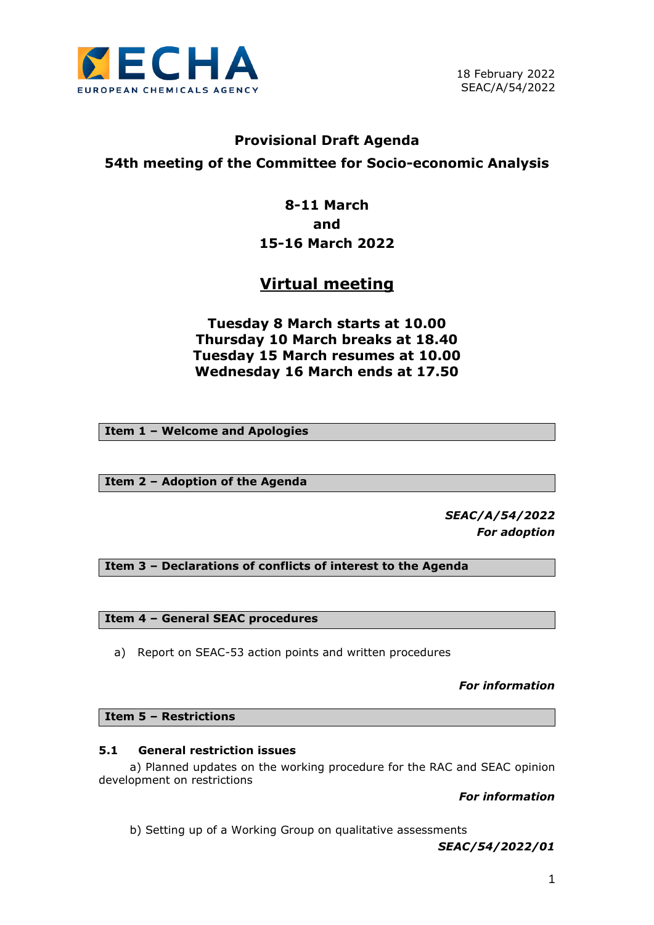

## **Provisional Draft Agenda 54th meeting of the Committee for Socio-economic Analysis**

## **8-11 March and 15-16 March 2022**

# **Virtual meeting**

**Tuesday 8 March starts at 10.00 Thursday 10 March breaks at 18.40 Tuesday 15 March resumes at 10.00 Wednesday 16 March ends at 17.50**

**Item 1 – Welcome and Apologies**

**Item 2 – Adoption of the Agenda**

*SEAC/A/54/2022 For adoption*

**Item 3 – Declarations of conflicts of interest to the Agenda**

**Item 4 – General SEAC procedures**

a) Report on SEAC-53 action points and written procedures

*For information*

**Item 5 – Restrictions**

## **5.1 General restriction issues**

a) Planned updates on the working procedure for the RAC and SEAC opinion development on restrictions

*For information*

b) Setting up of a Working Group on qualitative assessments

*SEAC/54/2022/01*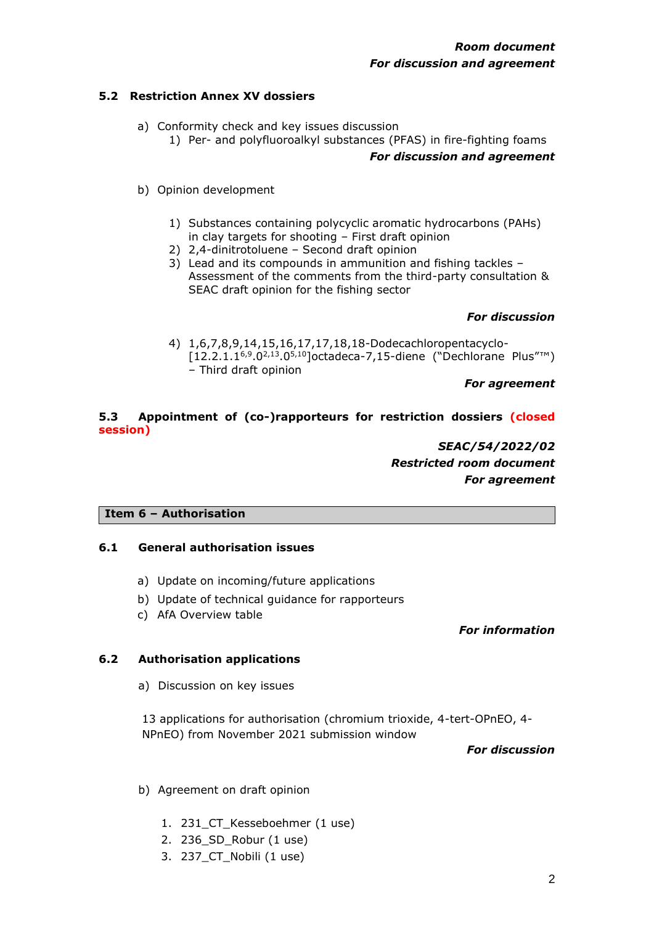## **5.2 Restriction Annex XV dossiers**

- a) Conformity check and key issues discussion
	- 1) Per- and polyfluoroalkyl substances (PFAS) in fire-fighting foams

#### *For discussion and agreement*

- b) Opinion development
	- 1) Substances containing polycyclic aromatic hydrocarbons (PAHs) in clay targets for shooting – First draft opinion
	- 2) 2,4-dinitrotoluene Second draft opinion
	- 3) Lead and its compounds in ammunition and fishing tackles Assessment of the comments from the third-party consultation & SEAC draft opinion for the fishing sector

## *For discussion*

4) 1,6,7,8,9,14,15,16,17,17,18,18-Dodecachloropentacyclo-  $[12.2.1.1^{6,9}.0^{2,13}.0^{5,10}]$ octadeca-7,15-diene ("Dechlorane Plus"™) – Third draft opinion

#### *For agreement*

## **5.3 Appointment of (co-)rapporteurs for restriction dossiers (closed session)**

## *SEAC/54/2022/02 Restricted room document For agreement*

## **Item 6 – Authorisation**

## **6.1 General authorisation issues**

- a) Update on incoming/future applications
- b) Update of technical guidance for rapporteurs
- c) AfA Overview table

#### *For information*

## **6.2 Authorisation applications**

a) Discussion on key issues

13 applications for authorisation (chromium trioxide, 4-tert-OPnEO, 4- NPnEO) from November 2021 submission window

*For discussion*

- b) Agreement on draft opinion
	- 1. 231\_CT\_Kesseboehmer (1 use)
	- 2. 236\_SD\_Robur (1 use)
	- 3. 237\_CT\_Nobili (1 use)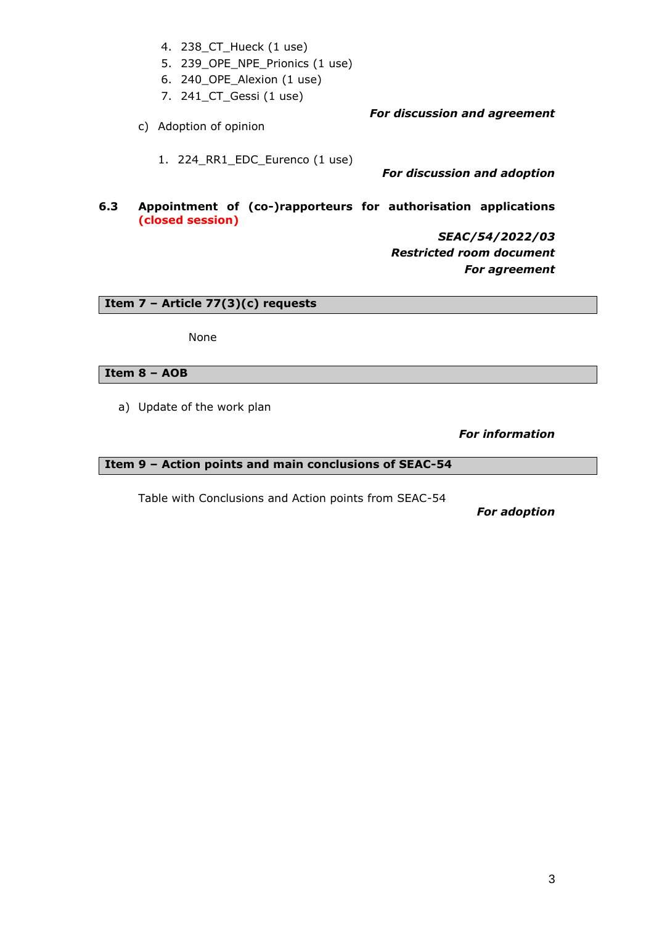- 4. 238\_CT\_Hueck (1 use)
- 5. 239\_OPE\_NPE\_Prionics (1 use)
- 6. 240\_OPE\_Alexion (1 use)
- 7. 241\_CT\_Gessi (1 use)
- c) Adoption of opinion

1. 224\_RR1\_EDC\_Eurenco (1 use)

*For discussion and adoption*

*For discussion and agreement*

## **6.3 Appointment of (co-)rapporteurs for authorisation applications (closed session)**

*SEAC/54/2022/03 Restricted room document For agreement*

**Item 7 – Article 77(3)(c) requests**

None

## **Item 8 – AOB**

a) Update of the work plan

*For information*

## **Item 9 – Action points and main conclusions of SEAC-54**

Table with Conclusions and Action points from SEAC-54

*For adoption*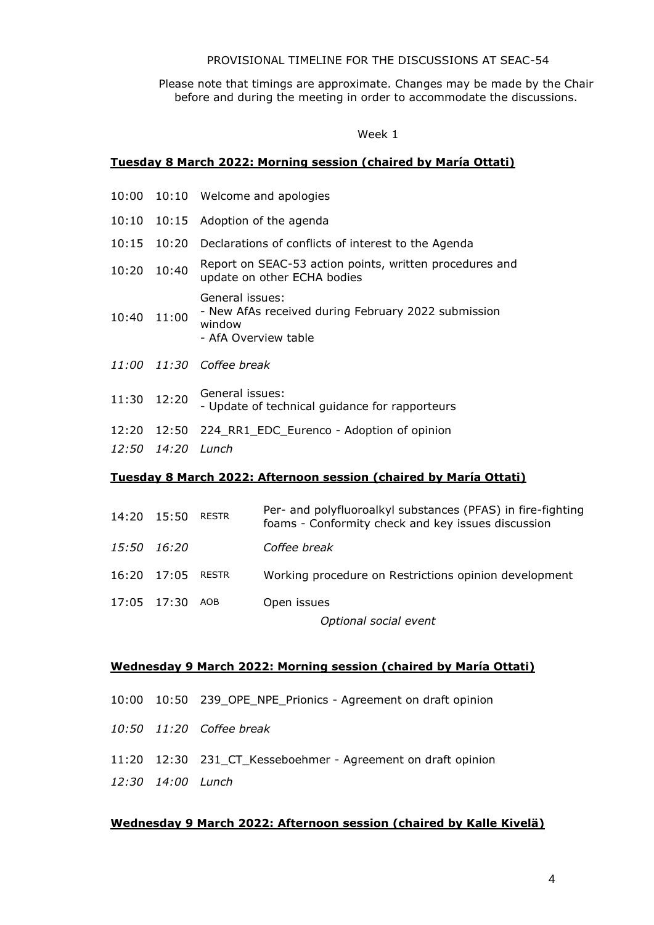#### PROVISIONAL TIMELINE FOR THE DISCUSSIONS AT SEAC-54

Please note that timings are approximate. Changes may be made by the Chair before and during the meeting in order to accommodate the discussions.

#### Week 1

#### **Tuesday 8 March 2022: Morning session (chaired by María Ottati)**

|       |             | 10:00 10:10 Welcome and apologies                                                                        |
|-------|-------------|----------------------------------------------------------------------------------------------------------|
|       |             | 10:10 10:15 Adoption of the agenda                                                                       |
|       |             | 10:15 10:20 Declarations of conflicts of interest to the Agenda                                          |
| 10:20 | 10:40       | Report on SEAC-53 action points, written procedures and<br>update on other ECHA bodies                   |
|       | 10:40 11:00 | General issues:<br>- New AfAs received during February 2022 submission<br>window<br>- AfA Overview table |
|       |             | 11:00 11:30 Coffee break                                                                                 |
| 11:30 | 12:20       | General issues:<br>- Update of technical guidance for rapporteurs                                        |
|       | 12:50 14:20 | 12:20 12:50 224_RR1_EDC_Eurenco - Adoption of opinion<br>Lunch                                           |

## **Tuesday 8 March 2022: Afternoon session (chaired by María Ottati)**

| 14:20 15:50 RESTR | Per- and polyfluoroalkyl substances (PFAS) in fire-fighting<br>foams - Conformity check and key issues discussion |
|-------------------|-------------------------------------------------------------------------------------------------------------------|
| 15:50 16:20       | Coffee break                                                                                                      |
| 16:20 17:05 RESTR | Working procedure on Restrictions opinion development                                                             |
| 17:05 17:30 AOB   | Open issues                                                                                                       |
|                   | Optional social event                                                                                             |

**Wednesday 9 March 2022: Morning session (chaired by María Ottati)**

- 10:00 10:50 239\_OPE\_NPE\_Prionics Agreement on draft opinion
- *10:50 11:20 Coffee break*
- 11:20 12:30 231\_CT\_Kesseboehmer Agreement on draft opinion
- *12:30 14:00 Lunch*

## **Wednesday 9 March 2022: Afternoon session (chaired by Kalle Kivelä)**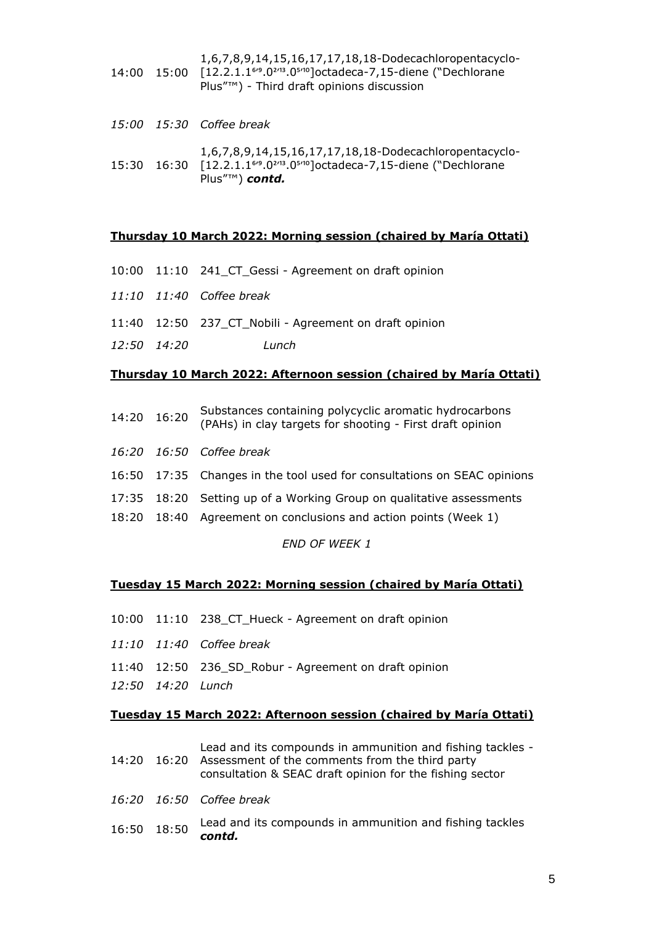- 14:00 15:00 1,6,7,8,9,14,15,16,17,17,18,18-Dodecachloropentacyclo- [12.2.1.16'9.0<sup>2'13</sup>.0<sup>5'10</sup>]octadeca-7,15-diene ("Dechlorane Plus"™) - Third draft opinions discussion
- *15:00 15:30 Coffee break* 15:30 16:30 [12.2.1.1<sup>6</sup><sup>9</sup>.0<sup>2/13</sup>.0<sup>5/10</sup>]octadeca-7,15-diene ("Dechlorane 1,6,7,8,9,14,15,16,17,17,18,18-Dodecachloropentacyclo- Plus"™) *contd.*

#### **Thursday 10 March 2022: Morning session (chaired by María Ottati)**

- 10:00 11:10 241\_CT\_Gessi Agreement on draft opinion
- *11:10 11:40 Coffee break*
- 11:40 12:50 237\_CT\_Nobili Agreement on draft opinion
- *12:50 14:20 Lunch*

#### **Thursday 10 March 2022: Afternoon session (chaired by María Ottati)**

- 14:20 16:20 Substances containing polycyclic aromatic hydrocarbons (PAHs) in clay targets for shooting - First draft opinion
- *16:20 16:50 Coffee break*
- 16:50 17:35 Changes in the tool used for consultations on SEAC opinions
- 17:35 18:20 Setting up of a Working Group on qualitative assessments
- 18:20 18:40 Agreement on conclusions and action points (Week 1)

#### *END OF WEEK 1*

#### **Tuesday 15 March 2022: Morning session (chaired by María Ottati)**

- 10:00 11:10 238\_CT\_Hueck Agreement on draft opinion
- *11:10 11:40 Coffee break*
- 11:40 12:50 236\_SD\_Robur Agreement on draft opinion
- *12:50 14:20 Lunch*

#### **Tuesday 15 March 2022: Afternoon session (chaired by María Ottati)**

|             | Lead and its compounds in ammunition and fishing tackles -<br>14:20 16:20 Assessment of the comments from the third party<br>consultation & SEAC draft opinion for the fishing sector |
|-------------|---------------------------------------------------------------------------------------------------------------------------------------------------------------------------------------|
|             | 16:20 16:50 Coffee break                                                                                                                                                              |
| 16:50 18:50 | Lead and its compounds in ammunition and fishing tackles<br>contd.                                                                                                                    |